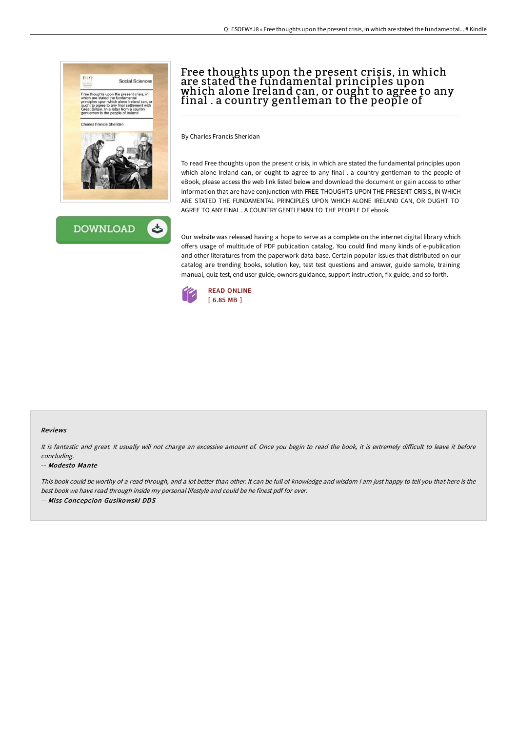



# Free thoughts upon the present crisis, in which are stated the fundamental principles upon which alone Ireland can, or ought to agree to any final . a country gentleman to the people of

By Charles Francis Sheridan

To read Free thoughts upon the present crisis, in which are stated the fundamental principles upon which alone Ireland can, or ought to agree to any final . a country gentleman to the people of eBook, please access the web link listed below and download the document or gain access to other information that are have conjunction with FREE THOUGHTS UPON THE PRESENT CRISIS, IN WHICH ARE STATED THE FUNDAMENTAL PRINCIPLES UPON WHICH ALONE IRELAND CAN, OR OUGHT TO AGREE TO ANY FINAL . A COUNTRY GENTLEMAN TO THE PEOPLE OF ebook.

Our website was released having a hope to serve as a complete on the internet digital library which offers usage of multitude of PDF publication catalog. You could find many kinds of e-publication and other literatures from the paperwork data base. Certain popular issues that distributed on our catalog are trending books, solution key, test test questions and answer, guide sample, training manual, quiz test, end user guide, owners guidance, support instruction, fix guide, and so forth.



### Reviews

It is fantastic and great. It usually will not charge an excessive amount of. Once you begin to read the book, it is extremely difficult to leave it before concluding.

#### -- Modesto Mante

This book could be worthy of <sup>a</sup> read through, and <sup>a</sup> lot better than other. It can be full of knowledge and wisdom <sup>I</sup> am just happy to tell you that here is the best book we have read through inside my personal lifestyle and could be he finest pdf for ever. -- Miss Concepcion Gusikowski DDS